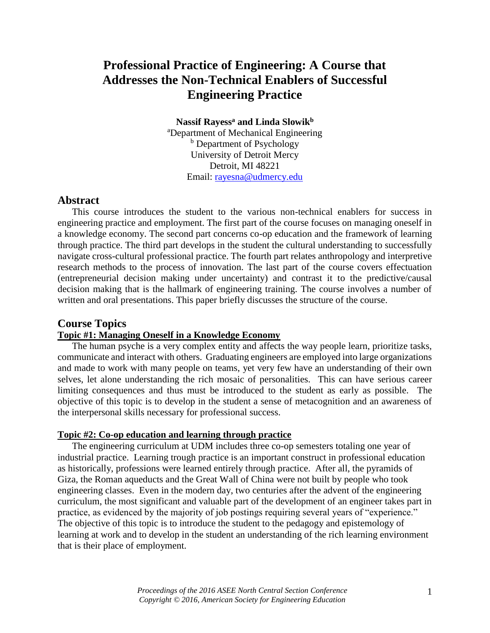# **Professional Practice of Engineering: A Course that Addresses the Non-Technical Enablers of Successful Engineering Practice**

**Nassif Rayess<sup>a</sup> and Linda Slowik<sup>b</sup>**

<sup>a</sup>Department of Mechanical Engineering <sup>b</sup> Department of Psychology University of Detroit Mercy Detroit, MI 48221 Email: [rayesna@udmercy.edu](mailto:rayesna@udmercy.edu)

### **Abstract**

This course introduces the student to the various non-technical enablers for success in engineering practice and employment. The first part of the course focuses on managing oneself in a knowledge economy. The second part concerns co-op education and the framework of learning through practice. The third part develops in the student the cultural understanding to successfully navigate cross-cultural professional practice. The fourth part relates anthropology and interpretive research methods to the process of innovation. The last part of the course covers effectuation (entrepreneurial decision making under uncertainty) and contrast it to the predictive/causal decision making that is the hallmark of engineering training. The course involves a number of written and oral presentations. This paper briefly discusses the structure of the course.

### **Course Topics**

## **Topic #1: Managing Oneself in a Knowledge Economy**

The human psyche is a very complex entity and affects the way people learn, prioritize tasks, communicate and interact with others. Graduating engineers are employed into large organizations and made to work with many people on teams, yet very few have an understanding of their own selves, let alone understanding the rich mosaic of personalities. This can have serious career limiting consequences and thus must be introduced to the student as early as possible. The objective of this topic is to develop in the student a sense of metacognition and an awareness of the interpersonal skills necessary for professional success.

#### **Topic #2: Co-op education and learning through practice**

The engineering curriculum at UDM includes three co-op semesters totaling one year of industrial practice. Learning trough practice is an important construct in professional education as historically, professions were learned entirely through practice. After all, the pyramids of Giza, the Roman aqueducts and the Great Wall of China were not built by people who took engineering classes. Even in the modern day, two centuries after the advent of the engineering curriculum, the most significant and valuable part of the development of an engineer takes part in practice, as evidenced by the majority of job postings requiring several years of "experience." The objective of this topic is to introduce the student to the pedagogy and epistemology of learning at work and to develop in the student an understanding of the rich learning environment that is their place of employment.